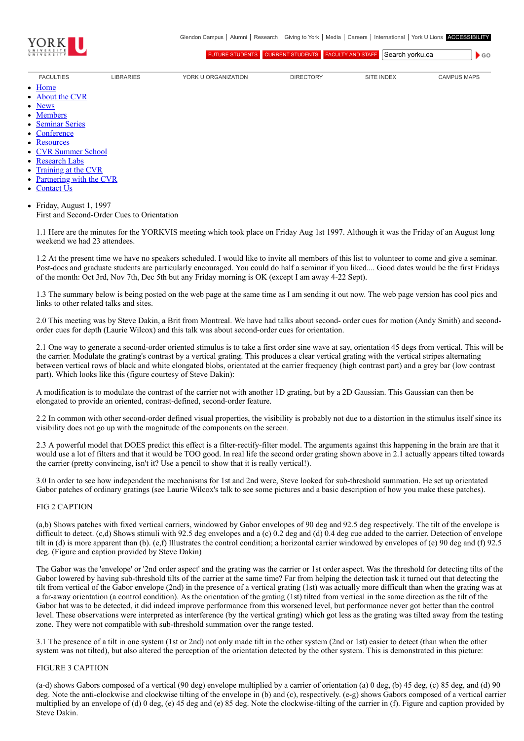

 $\bullet$  GO

[FUTURE STUDENTS](http://futurestudents.yorku.ca/) [CURRENT STUDENTS](http://www.yorku.ca/yorkweb/cs.htm) [FACULTY AND STAFF](http://www.yorku.ca/yorkweb/fs.htm) Search vorku.ca

- [FACULTIES](http://www.yorku.ca/yorkweb/faculties.htm) [LIBRARIES](http://www.library.yorku.ca/) [YORK U ORGANIZATION](http://www.yorku.ca/yorkweb/org.htm) [DIRECTORY](http://www.yorku.ca/yorkatlas) [SITE INDEX](http://www.yorku.ca/yorkweb/siteindex.htm) [CAMPUS MAPS](http://www.yorku.ca/yorkweb/maps/)
	- $\bullet$ **[Home](file:///C:/)**
	- [About the CVR](file:///C:/content/about-cvr)
	- [News](file:///C:/newslatest)
	- **[Members](file:///C:/category/faculty/york-faculty)**  $\bullet$
	- [Seminar Series](file:///C:/content/seminar-series)  $\bullet$
	- **[Conference](file:///C:/conferencearchive)**
	- **[Resources](file:///C:/content/resources)**  $\bullet$
	- [CVR Summer School](http://cvrss.info.yorku.ca/)
	- [Research Labs](file:///C:/content/research-labs)
	-
	- [Training at the CVR](file:///C:/content/training-cvr-0) [Partnering with the CVR](file:///C:/content/partnering-cvr-0)  $\bullet$
	-
	- [Contact Us](file:///C:/content/contact-cvr)
	- Friday, August 1, 1997  $\bullet$ First and Second-Order Cues to Orientation

1.1 Here are the minutes for the YORKVIS meeting which took place on Friday Aug 1st 1997. Although it was the Friday of an August long weekend we had 23 attendees.

1.2 At the present time we have no speakers scheduled. I would like to invite all members of this list to volunteer to come and give a seminar. Post-docs and graduate students are particularly encouraged. You could do half a seminar if you liked.... Good dates would be the first Fridays of the month: Oct 3rd, Nov 7th, Dec 5th but any Friday morning is OK (except I am away 4-22 Sept).

1.3 The summary below is being posted on the web page at the same time as I am sending it out now. The web page version has cool pics and links to other related talks and sites.

2.0 This meeting was by Steve Dakin, a Brit from Montreal. We have had talks about second- order cues for motion (Andy Smith) and secondorder cues for depth (Laurie Wilcox) and this talk was about second-order cues for orientation.

2.1 One way to generate a second-order oriented stimulus is to take a first order sine wave at say, orientation 45 degs from vertical. This will be the carrier. Modulate the grating's contrast by a vertical grating. This produces a clear vertical grating with the vertical stripes alternating between vertical rows of black and white elongated blobs, orientated at the carrier frequency (high contrast part) and a grey bar (low contrast part). Which looks like this (figure courtesy of Steve Dakin):

A modification is to modulate the contrast of the carrier not with another 1D grating, but by a 2D Gaussian. This Gaussian can then be elongated to provide an oriented, contrast-defined, second-order feature.

2.2 In common with other second-order defined visual properties, the visibility is probably not due to a distortion in the stimulus itself since its visibility does not go up with the magnitude of the components on the screen.

2.3 A powerful model that DOES predict this effect is a filter-rectify-filter model. The arguments against this happening in the brain are that it would use a lot of filters and that it would be TOO good. In real life the second order grating shown above in 2.1 actually appears tilted towards the carrier (pretty convincing, isn't it? Use a pencil to show that it is really vertical!).

3.0 In order to see how independent the mechanisms for 1st and 2nd were, Steve looked for sub-threshold summation. He set up orientated Gabor patches of ordinary gratings (see Laurie Wilcox's talk to see some pictures and a basic description of how you make these patches).

## FIG 2 CAPTION

(a,b) Shows patches with fixed vertical carriers, windowed by Gabor envelopes of 90 deg and 92.5 deg respectively. The tilt of the envelope is difficult to detect. (c,d) Shows stimuli with 92.5 deg envelopes and a (c) 0.2 deg and (d) 0.4 deg cue added to the carrier. Detection of envelope tilt in (d) is more apparent than (b). (e,f) Illustrates the control condition; a horizontal carrier windowed by envelopes of (e) 90 deg and (f) 92.5 deg. (Figure and caption provided by Steve Dakin)

The Gabor was the 'envelope' or '2nd order aspect' and the grating was the carrier or 1st order aspect. Was the threshold for detecting tilts of the Gabor lowered by having sub-threshold tilts of the carrier at the same time? Far from helping the detection task it turned out that detecting the tilt from vertical of the Gabor envelope (2nd) in the presence of a vertical grating (1st) was actually more difficult than when the grating was at a far-away orientation (a control condition). As the orientation of the grating (1st) tilted from vertical in the same direction as the tilt of the Gabor hat was to be detected, it did indeed improve performance from this worsened level, but performance never got better than the control level. These observations were interpreted as interference (by the vertical grating) which got less as the grating was tilted away from the testing zone. They were not compatible with sub-threshold summation over the range tested.

3.1 The presence of a tilt in one system (1st or 2nd) not only made tilt in the other system (2nd or 1st) easier to detect (than when the other system was not tilted), but also altered the perception of the orientation detected by the other system. This is demonstrated in this picture:

## FIGURE 3 CAPTION

(a-d) shows Gabors composed of a vertical (90 deg) envelope multiplied by a carrier of orientation (a) 0 deg, (b) 45 deg, (c) 85 deg, and (d) 90 deg. Note the anti-clockwise and clockwise tilting of the envelope in (b) and (c), respectively. (e-g) shows Gabors composed of a vertical carrier multiplied by an envelope of (d) 0 deg, (e) 45 deg and (e) 85 deg. Note the clockwise-tilting of the carrier in (f). Figure and caption provided by Steve Dakin.